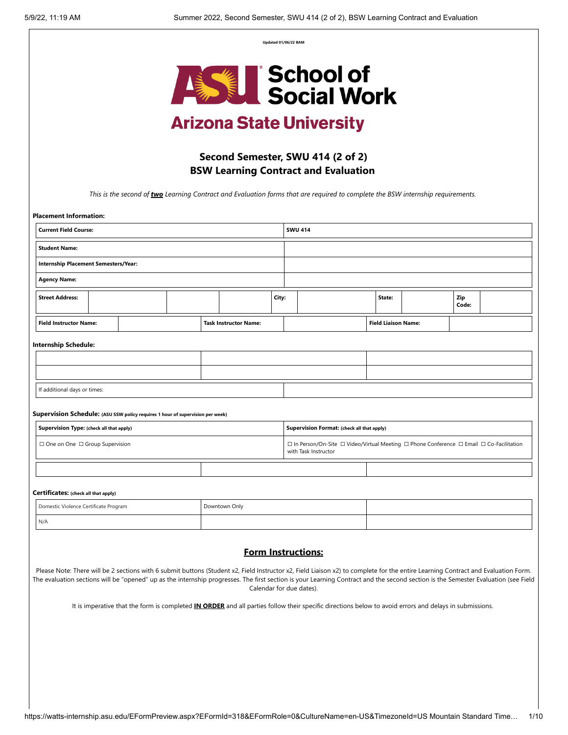**Updated 01/06/22 BAM**



# **Arizona State University**

## **Second Semester, SWU 414 (2 of 2) BSW Learning Contract and Evaluation**

*This is the second of two Learning Contract and Evaluation forms that are required to complete the BSW internship requirements.* 

| <b>Placement Information:</b>               |                                                                                |                              |       |                                                                                                                  |                                            |                            |  |              |  |
|---------------------------------------------|--------------------------------------------------------------------------------|------------------------------|-------|------------------------------------------------------------------------------------------------------------------|--------------------------------------------|----------------------------|--|--------------|--|
| <b>Current Field Course:</b>                |                                                                                |                              |       |                                                                                                                  | <b>SWU 414</b>                             |                            |  |              |  |
| <b>Student Name:</b>                        |                                                                                |                              |       |                                                                                                                  |                                            |                            |  |              |  |
| <b>Internship Placement Semesters/Year:</b> |                                                                                |                              |       |                                                                                                                  |                                            |                            |  |              |  |
| <b>Agency Name:</b>                         |                                                                                |                              |       |                                                                                                                  |                                            |                            |  |              |  |
| <b>Street Address:</b>                      |                                                                                |                              | City: |                                                                                                                  |                                            | State:                     |  | Zip<br>Code: |  |
| <b>Field Instructor Name:</b>               |                                                                                | <b>Task Instructor Name:</b> |       |                                                                                                                  |                                            | <b>Field Liaison Name:</b> |  |              |  |
| <b>Internship Schedule:</b>                 |                                                                                |                              |       |                                                                                                                  |                                            |                            |  |              |  |
|                                             |                                                                                |                              |       |                                                                                                                  |                                            |                            |  |              |  |
|                                             |                                                                                |                              |       |                                                                                                                  |                                            |                            |  |              |  |
| If additional days or times:                |                                                                                |                              |       |                                                                                                                  |                                            |                            |  |              |  |
|                                             | Supervision Schedule: (ASU SSW policy requires 1 hour of supervision per week) |                              |       |                                                                                                                  |                                            |                            |  |              |  |
| Supervision Type: (check all that apply)    |                                                                                |                              |       |                                                                                                                  | Supervision Format: (check all that apply) |                            |  |              |  |
| $\Box$ One on One $\Box$ Group Supervision  |                                                                                |                              |       | □ In Person/On-Site □ Video/Virtual Meeting □ Phone Conference □ Email □ Co-Facilitation<br>with Task Instructor |                                            |                            |  |              |  |
|                                             |                                                                                |                              |       |                                                                                                                  |                                            |                            |  |              |  |
| Certificates: (check all that apply)        |                                                                                |                              |       |                                                                                                                  |                                            |                            |  |              |  |
| Domestic Violence Certificate Program       |                                                                                | Downtown Only                |       |                                                                                                                  |                                            |                            |  |              |  |
| N/A                                         |                                                                                |                              |       |                                                                                                                  |                                            |                            |  |              |  |
|                                             |                                                                                |                              |       |                                                                                                                  |                                            |                            |  |              |  |

## **Form Instructions:**

Please Note: There will be 2 sections with 6 submit buttons (Student x2, Field Instructor x2, Field Liaison x2) to complete for the entire Learning Contract and Evaluation Form. The evaluation sections will be "opened" up as the internship progresses. The first section is your Learning Contract and the second section is the Semester Evaluation (see Field Calendar for due dates).

It is imperative that the form is completed **IN ORDER** and all parties follow their specific directions below to avoid errors and delays in submissions.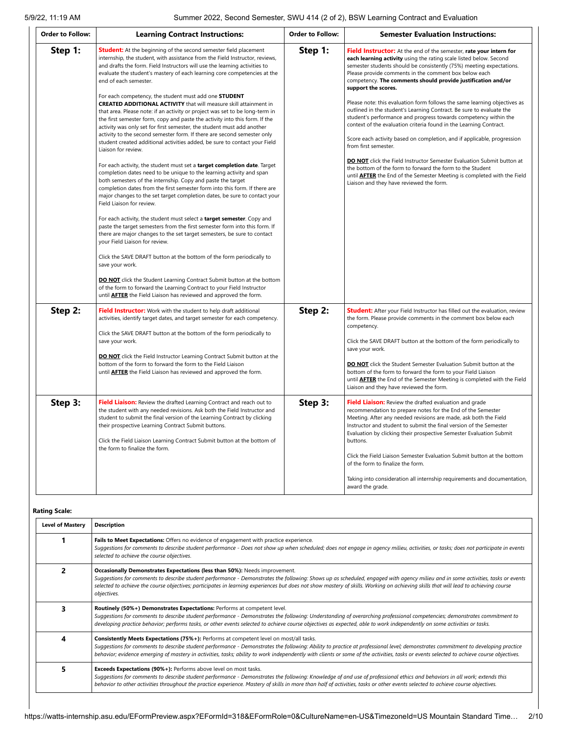| <b>Order to Follow:</b> | <b>Learning Contract Instructions:</b>                                                                                                                                                                                                                                                                                                                                                                                                                                                                                                                                                                                                                                                                                                                                                                                                                                                                                                                                                                                                                                                                                                                                                                                                                                                                                                                                                                                                                                                                                                                                                                                                                                                                                                                                                                                                                                                                                             | <b>Order to Follow:</b> | <b>Semester Evaluation Instructions:</b>                                                                                                                                                                                                                                                                                                                                                                                                                                                                                                                                                                                                                                                                                                                                                                                                                                                                                                                                                                                                |
|-------------------------|------------------------------------------------------------------------------------------------------------------------------------------------------------------------------------------------------------------------------------------------------------------------------------------------------------------------------------------------------------------------------------------------------------------------------------------------------------------------------------------------------------------------------------------------------------------------------------------------------------------------------------------------------------------------------------------------------------------------------------------------------------------------------------------------------------------------------------------------------------------------------------------------------------------------------------------------------------------------------------------------------------------------------------------------------------------------------------------------------------------------------------------------------------------------------------------------------------------------------------------------------------------------------------------------------------------------------------------------------------------------------------------------------------------------------------------------------------------------------------------------------------------------------------------------------------------------------------------------------------------------------------------------------------------------------------------------------------------------------------------------------------------------------------------------------------------------------------------------------------------------------------------------------------------------------------|-------------------------|-----------------------------------------------------------------------------------------------------------------------------------------------------------------------------------------------------------------------------------------------------------------------------------------------------------------------------------------------------------------------------------------------------------------------------------------------------------------------------------------------------------------------------------------------------------------------------------------------------------------------------------------------------------------------------------------------------------------------------------------------------------------------------------------------------------------------------------------------------------------------------------------------------------------------------------------------------------------------------------------------------------------------------------------|
| Step 1:                 | <b>Student:</b> At the beginning of the second semester field placement<br>internship, the student, with assistance from the Field Instructor, reviews,<br>and drafts the form. Field Instructors will use the learning activities to<br>evaluate the student's mastery of each learning core competencies at the<br>end of each semester.<br>For each competency, the student must add one STUDENT<br><b>CREATED ADDITIONAL ACTIVITY</b> that will measure skill attainment in<br>that area. Please note: if an activity or project was set to be long-term in<br>the first semester form, copy and paste the activity into this form. If the<br>activity was only set for first semester, the student must add another<br>activity to the second semester form. If there are second semester only<br>student created additional activities added, be sure to contact your Field<br>Liaison for review.<br>For each activity, the student must set a <b>target completion date</b> . Target<br>completion dates need to be unique to the learning activity and span<br>both semesters of the internship. Copy and paste the target<br>completion dates from the first semester form into this form. If there are<br>major changes to the set target completion dates, be sure to contact your<br>Field Liaison for review.<br>For each activity, the student must select a target semester. Copy and<br>paste the target semesters from the first semester form into this form. If<br>there are major changes to the set target semesters, be sure to contact<br>your Field Liaison for review.<br>Click the SAVE DRAFT button at the bottom of the form periodically to<br>save your work.<br><b>DO NOT</b> click the Student Learning Contract Submit button at the bottom<br>of the form to forward the Learning Contract to your Field Instructor<br>until <b>AFTER</b> the Field Liaison has reviewed and approved the form. | Step 1:                 | Field Instructor: At the end of the semester, rate your intern for<br>each learning activity using the rating scale listed below. Second<br>semester students should be consistently (75%) meeting expectations.<br>Please provide comments in the comment box below each<br>competency. The comments should provide justification and/or<br>support the scores.<br>Please note: this evaluation form follows the same learning objectives as<br>outlined in the student's Learning Contract. Be sure to evaluate the<br>student's performance and progress towards competency within the<br>context of the evaluation criteria found in the Learning Contract.<br>Score each activity based on completion, and if applicable, progression<br>from first semester.<br>DO NOT click the Field Instructor Semester Evaluation Submit button at<br>the bottom of the form to forward the form to the Student<br>until <b>AFTER</b> the End of the Semester Meeting is completed with the Field<br>Liaison and they have reviewed the form. |
| Step 2:                 | Field Instructor: Work with the student to help draft additional<br>activities, identify target dates, and target semester for each competency.<br>Click the SAVE DRAFT button at the bottom of the form periodically to<br>save your work.<br><b>DO NOT</b> click the Field Instructor Learning Contract Submit button at the<br>bottom of the form to forward the form to the Field Liaison<br>until <b>AFTER</b> the Field Liaison has reviewed and approved the form.                                                                                                                                                                                                                                                                                                                                                                                                                                                                                                                                                                                                                                                                                                                                                                                                                                                                                                                                                                                                                                                                                                                                                                                                                                                                                                                                                                                                                                                          | Step 2:                 | <b>Student:</b> After your Field Instructor has filled out the evaluation, review<br>the form. Please provide comments in the comment box below each<br>competency.<br>Click the SAVE DRAFT button at the bottom of the form periodically to<br>save your work.<br><b>DO NOT</b> click the Student Semester Evaluation Submit button at the<br>bottom of the form to forward the form to your Field Liaison<br>until <b>AFTER</b> the End of the Semester Meeting is completed with the Field<br>Liaison and they have reviewed the form.                                                                                                                                                                                                                                                                                                                                                                                                                                                                                               |
| Step 3:                 | Field Liaison: Review the drafted Learning Contract and reach out to<br>the student with any needed revisions. Ask both the Field Instructor and<br>student to submit the final version of the Learning Contract by clicking<br>their prospective Learning Contract Submit buttons.<br>Click the Field Liaison Learning Contract Submit button at the bottom of<br>the form to finalize the form.                                                                                                                                                                                                                                                                                                                                                                                                                                                                                                                                                                                                                                                                                                                                                                                                                                                                                                                                                                                                                                                                                                                                                                                                                                                                                                                                                                                                                                                                                                                                  | Step 3:                 | Field Liaison: Review the drafted evaluation and grade<br>recommendation to prepare notes for the End of the Semester<br>Meeting. After any needed revisions are made, ask both the Field<br>Instructor and student to submit the final version of the Semester<br>Evaluation by clicking their prospective Semester Evaluation Submit<br>buttons.<br>Click the Field Liaison Semester Evaluation Submit button at the bottom<br>of the form to finalize the form.<br>Taking into consideration all internship requirements and documentation,<br>award the grade.                                                                                                                                                                                                                                                                                                                                                                                                                                                                      |

## **Rating Scale:**

| <b>Level of Mastery</b> | <b>Description</b>                                                                                                                                                                                                                                                                                                                                                                                                                                                             |
|-------------------------|--------------------------------------------------------------------------------------------------------------------------------------------------------------------------------------------------------------------------------------------------------------------------------------------------------------------------------------------------------------------------------------------------------------------------------------------------------------------------------|
|                         | Fails to Meet Expectations: Offers no evidence of engagement with practice experience.<br>Suggestions for comments to describe student performance - Does not show up when scheduled; does not engage in agency milieu, activities, or tasks; does not participate in events<br>selected to achieve the course objectives.                                                                                                                                                     |
|                         | Occasionally Demonstrates Expectations (less than 50%): Needs improvement.<br>Suggestions for comments to describe student performance - Demonstrates the following: Shows up as scheduled, engaged with agency milieu and in some activities, tasks or events<br>selected to achieve the course objectives; participates in learning experiences but does not show mastery of skills. Working on achieving skills that will lead to achieving course<br>objectives.           |
|                         | Routinely (50%+) Demonstrates Expectations: Performs at competent level.<br>Suggestions for comments to describe student performance - Demonstrates the following: Understanding of overarching professional competencies; demonstrates commitment to<br>developing practice behavior; performs tasks, or other events selected to achieve course objectives as expected, able to work independently on some activities or tasks.                                              |
|                         | <b>Consistently Meets Expectations (75%+):</b> Performs at competent level on most/all tasks.<br>Suggestions for comments to describe student performance - Demonstrates the following: Ability to practice at professional level; demonstrates commitment to developing practice<br>behavior; evidence emerging of mastery in activities, tasks; ability to work independently with clients or some of the activities, tasks or events selected to achieve course objectives. |
|                         | Exceeds Expectations (90%+): Performs above level on most tasks.<br>Suggestions for comments to describe student performance - Demonstrates the following: Knowledge of and use of professional ethics and behaviors in all work; extends this<br>behavior to other activities throughout the practice experience. Mastery of skills in more than half of activities, tasks or other events selected to achieve course objectives.                                             |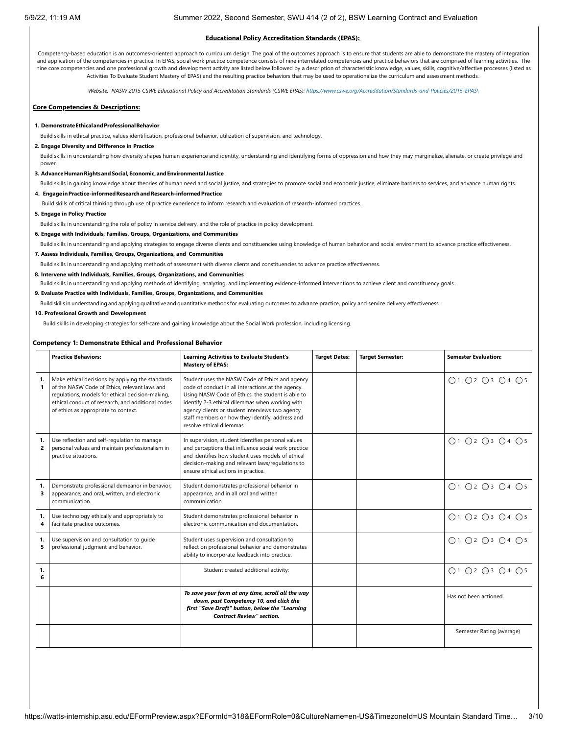#### **Educational Policy Accreditation Standards (EPAS):**

Competency-based education is an outcomes-oriented approach to curriculum design. The goal of the outcomes approach is to ensure that students are able to demonstrate the mastery of integration and application of the competencies in practice. In EPAS, social work practice competence consists of nine interrelated competencies and practice behaviors that are comprised of learning activities. The nine core competencies and one professional growth and development activity are listed below followed by a description of characteristic knowledge, values, skills, cognitive/affective processes (listed as Activities To Evaluate Student Mastery of EPAS) and the resulting practice behaviors that may be used to operationalize the curriculum and assessment methods*.*

*Website: NASW 2015 CSWE Educational Policy and Accreditation Standards (CSWE EPAS): [https://www.cswe.org/Accreditation/Standards-and-Policies/2015-EPAS\](https://www.cswe.org/Accreditation/Standards-and-Policies/2015-EPAS/)*

## **Core Competencies & Descriptions:**

#### **1. DemonstrateEthicalandProfessionalBehavior**

Build skills in ethical practice, values identification, professional behavior, utilization of supervision, and technology.

## **2. Engage Diversity and Difference in Practice**

Build skills in understanding how diversity shapes human experience and identity, understanding and identifying forms of oppression and how they may marginalize, alienate, or create privilege and power

#### **3. AdvanceHumanRightsandSocial,Economic,andEnvironmental Justice**

Build skills in gaining knowledge about theories of human need and social justice, and strategies to promote social and economic justice, eliminate barriers to services, and advance human rights.

## **4. EngageinPractice-informedResearchandResearch-informedPractice**

Build skills of critical thinking through use of practice experience to inform research and evaluation of research-informed practices.

**5. Engage in Policy Practice**

Build skills in understanding the role of policy in service delivery, and the role of practice in policy development.

#### **6. Engage with Individuals, Families, Groups, Organizations, and Communities**

Build skills in understanding and applying strategies to engage diverse clients and constituencies using knowledge of human behavior and social environment to advance practice effectiveness.

## **7. Assess Individuals, Families, Groups, Organizations, and Communities**

Build skills in understanding and applying methods of assessment with diverse clients and constituencies to advance practice effectiveness.

## **8. Intervene with Individuals, Families, Groups, Organizations, and Communities**

Build skills in understanding and applying methods of identifying, analyzing, and implementing evidence-informed interventions to achieve client and constituency goals.

#### **9. Evaluate Practice with Individuals, Families, Groups, Organizations, and Communities**

Build skills in understanding and applying qualitative and quantitative methods for evaluating outcomes to advance practice, policy and service delivery effectiveness.

#### **10. Professional Growth and Development**

Build skills in developing strategies for self-care and gaining knowledge about the Social Work profession, including licensing.

### **Competency 1: Demonstrate Ethical and Professional Behavior**

|                      | <b>Practice Behaviors:</b>                                                                                                                                                                                                                         | <b>Learning Activities to Evaluate Student's</b><br><b>Mastery of EPAS:</b>                                                                                                                                                                                                                                                                      | <b>Target Dates:</b> | <b>Target Semester:</b> | <b>Semester Evaluation:</b>                                 |
|----------------------|----------------------------------------------------------------------------------------------------------------------------------------------------------------------------------------------------------------------------------------------------|--------------------------------------------------------------------------------------------------------------------------------------------------------------------------------------------------------------------------------------------------------------------------------------------------------------------------------------------------|----------------------|-------------------------|-------------------------------------------------------------|
| 1.<br>1              | Make ethical decisions by applying the standards<br>of the NASW Code of Ethics, relevant laws and<br>regulations, models for ethical decision-making,<br>ethical conduct of research, and additional codes<br>of ethics as appropriate to context. | Student uses the NASW Code of Ethics and agency<br>code of conduct in all interactions at the agency.<br>Using NASW Code of Ethics, the student is able to<br>identify 2-3 ethical dilemmas when working with<br>agency clients or student interviews two agency<br>staff members on how they identify, address and<br>resolve ethical dilemmas. |                      |                         | ○1 ○2 ○3 ○4 ○5                                              |
| 1.<br>$\overline{2}$ | Use reflection and self-regulation to manage<br>personal values and maintain professionalism in<br>practice situations.                                                                                                                            | In supervision, student identifies personal values<br>and perceptions that influence social work practice<br>and identifies how student uses models of ethical<br>decision-making and relevant laws/regulations to<br>ensure ethical actions in practice.                                                                                        |                      |                         | ○1 ○2 ○3 ○4 ○5                                              |
| 1.<br>3              | Demonstrate professional demeanor in behavior;<br>appearance; and oral, written, and electronic<br>communication.                                                                                                                                  | Student demonstrates professional behavior in<br>appearance, and in all oral and written<br>communication.                                                                                                                                                                                                                                       |                      |                         | $\bigcap$ 1 $\bigcap$ 2 $\bigcap$ 3 $\bigcap$ 4 $\bigcap$ 5 |
| 1.<br>4              | Use technology ethically and appropriately to<br>facilitate practice outcomes.                                                                                                                                                                     | Student demonstrates professional behavior in<br>electronic communication and documentation.                                                                                                                                                                                                                                                     |                      |                         | ○1 ○2 ○3 ○4 ○5                                              |
| 1.<br>5              | Use supervision and consultation to quide<br>professional judgment and behavior.                                                                                                                                                                   | Student uses supervision and consultation to<br>reflect on professional behavior and demonstrates<br>ability to incorporate feedback into practice.                                                                                                                                                                                              |                      |                         | $\bigcap$ 1 $\bigcap$ 2 $\bigcap$ 3 $\bigcap$ 4 $\bigcap$ 5 |
| 1.<br>6              |                                                                                                                                                                                                                                                    | Student created additional activity:                                                                                                                                                                                                                                                                                                             |                      |                         | ○1 ○2 ○3 ○4 ○5                                              |
|                      |                                                                                                                                                                                                                                                    | To save your form at any time, scroll all the way<br>down, past Competency 10, and click the<br>first "Save Draft" button, below the "Learning<br><b>Contract Review" section.</b>                                                                                                                                                               |                      |                         | Has not been actioned                                       |
|                      |                                                                                                                                                                                                                                                    |                                                                                                                                                                                                                                                                                                                                                  |                      |                         | Semester Rating (average)                                   |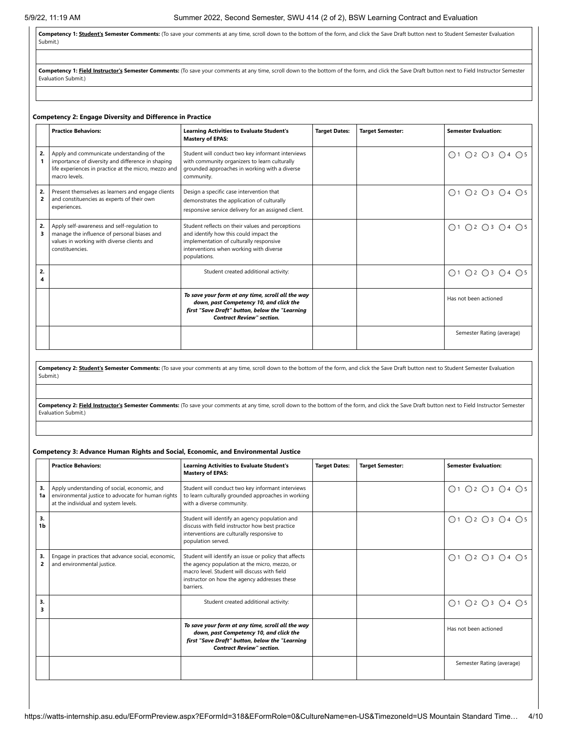Competency 1: **Student's Semester Comments:** (To save your comments at any time, scroll down to the bottom of the form, and click the Save Draft button next to Student Semester Evaluation Submit.)

Competency 1: Field Instructor's Semester Comments: (To save your comments at any time, scroll down to the bottom of the form, and click the Save Draft button next to Field Instructor Semester Evaluation Submit.)

## **Competency 2: Engage Diversity and Difference in Practice**

|                      | <b>Practice Behaviors:</b>                                                                                                                                               | <b>Learning Activities to Evaluate Student's</b><br><b>Mastery of EPAS:</b>                                                                                                                      | <b>Target Dates:</b> | <b>Target Semester:</b> | <b>Semester Evaluation:</b> |
|----------------------|--------------------------------------------------------------------------------------------------------------------------------------------------------------------------|--------------------------------------------------------------------------------------------------------------------------------------------------------------------------------------------------|----------------------|-------------------------|-----------------------------|
| 2.                   | Apply and communicate understanding of the<br>importance of diversity and difference in shaping<br>life experiences in practice at the micro, mezzo and<br>macro levels. | Student will conduct two key informant interviews<br>with community organizers to learn culturally<br>grounded approaches in working with a diverse<br>community.                                |                      |                         | ○1 ○2 ○3 ○4 ○5              |
| 2.<br>$\overline{2}$ | Present themselves as learners and engage clients<br>and constituencies as experts of their own<br>experiences.                                                          | Design a specific case intervention that<br>demonstrates the application of culturally<br>responsive service delivery for an assigned client.                                                    |                      |                         | O1 O2 O3 O4 O5              |
| 2.                   | Apply self-awareness and self-regulation to<br>manage the influence of personal biases and<br>values in working with diverse clients and<br>constituencies.              | Student reflects on their values and perceptions<br>and identify how this could impact the<br>implementation of culturally responsive<br>interventions when working with diverse<br>populations. |                      |                         | ○1 ○2 ○3 ○4 ○5              |
| 2.<br>4              |                                                                                                                                                                          | Student created additional activity:                                                                                                                                                             |                      |                         | ○1 ○2 ○3 ○4 ○5              |
|                      |                                                                                                                                                                          | To save your form at any time, scroll all the way<br>down, past Competency 10, and click the<br>first "Save Draft" button, below the "Learning<br><b>Contract Review" section.</b>               |                      |                         | Has not been actioned       |
|                      |                                                                                                                                                                          |                                                                                                                                                                                                  |                      |                         | Semester Rating (average)   |

**Competency 2: Student's Semester Comments:** (To save your comments at any time, scroll down to the bottom of the form, and click the Save Draft button next to Student Semester Evaluation Submit.)

Competency 2: Field Instructor's Semester Comments: (To save your comments at any time, scroll down to the bottom of the form, and click the Save Draft button next to Field Instructor Semester Evaluation Submit.)

### **Competency 3: Advance Human Rights and Social, Economic, and Environmental Justice**

|          | <b>Practice Behaviors:</b>                                                                                                                 | <b>Learning Activities to Evaluate Student's</b><br><b>Mastery of EPAS:</b>                                                                                                                                         | <b>Target Dates:</b> | <b>Target Semester:</b> | <b>Semester Evaluation:</b> |
|----------|--------------------------------------------------------------------------------------------------------------------------------------------|---------------------------------------------------------------------------------------------------------------------------------------------------------------------------------------------------------------------|----------------------|-------------------------|-----------------------------|
| 3.<br>1a | Apply understanding of social, economic, and<br>environmental justice to advocate for human rights<br>at the individual and system levels. | Student will conduct two key informant interviews<br>to learn culturally grounded approaches in working<br>with a diverse community.                                                                                |                      |                         | ○1 ○2 ○3 ○4 ○5              |
| 3.<br>1b |                                                                                                                                            | Student will identify an agency population and<br>discuss with field instructor how best practice<br>interventions are culturally responsive to<br>population served.                                               |                      |                         | ○1 ○2 ○3 ○4 ○5              |
| 3.<br>2  | Engage in practices that advance social, economic,<br>and environmental justice.                                                           | Student will identify an issue or policy that affects<br>the agency population at the micro, mezzo, or<br>macro level. Student will discuss with field<br>instructor on how the agency addresses these<br>barriers. |                      |                         | Q1 Q2 Q3 Q4 Q5              |
| 3.<br>3  |                                                                                                                                            | Student created additional activity:                                                                                                                                                                                |                      |                         | ○1 ○2 ○3 ○4 ○5              |
|          |                                                                                                                                            | To save your form at any time, scroll all the way<br>down, past Competency 10, and click the<br>first "Save Draft" button, below the "Learning<br><b>Contract Review" section.</b>                                  |                      |                         | Has not been actioned       |
|          |                                                                                                                                            |                                                                                                                                                                                                                     |                      |                         | Semester Rating (average)   |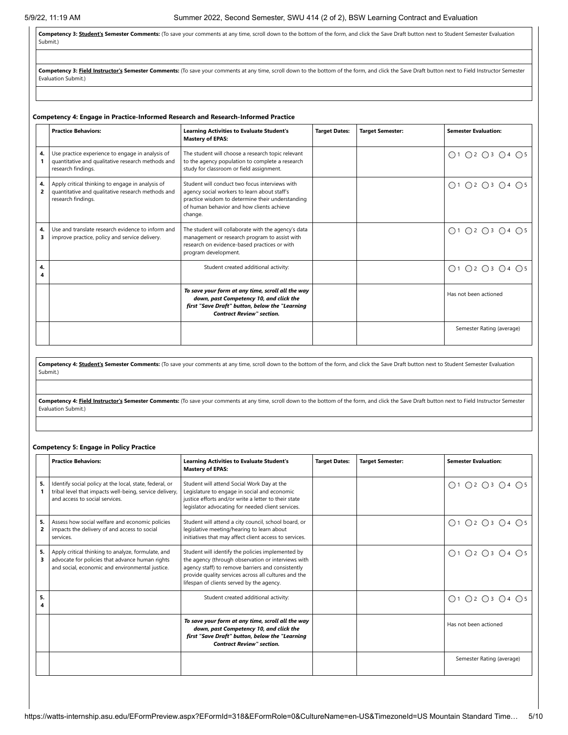Competency 3: **Student's Semester Comments:** (To save your comments at any time, scroll down to the bottom of the form, and click the Save Draft button next to Student Semester Evaluation Submit.)

Competency 3: Field Instructor's Semester Comments: (To save your comments at any time, scroll down to the bottom of the form, and click the Save Draft button next to Field Instructor Semester Evaluation Submit.)

**Competency 4: Engage in Practice-Informed Research and Research-Informed Practice**

|         | <b>Practice Behaviors:</b>                                                                                                  | <b>Learning Activities to Evaluate Student's</b><br><b>Mastery of EPAS:</b>                                                                                                                                | <b>Target Dates:</b> | <b>Target Semester:</b> | <b>Semester Evaluation:</b> |
|---------|-----------------------------------------------------------------------------------------------------------------------------|------------------------------------------------------------------------------------------------------------------------------------------------------------------------------------------------------------|----------------------|-------------------------|-----------------------------|
| 4.      | Use practice experience to engage in analysis of<br>quantitative and qualitative research methods and<br>research findings. | The student will choose a research topic relevant<br>to the agency population to complete a research<br>study for classroom or field assignment.                                                           |                      |                         | ○1 ○2 ○3 ○4 ○5              |
| 4.<br>2 | Apply critical thinking to engage in analysis of<br>quantitative and qualitative research methods and<br>research findings. | Student will conduct two focus interviews with<br>agency social workers to learn about staff's<br>practice wisdom to determine their understanding<br>of human behavior and how clients achieve<br>change. |                      |                         | O1 O2 O3 O4 O5              |
| 4.<br>3 | Use and translate research evidence to inform and<br>improve practice, policy and service delivery.                         | The student will collaborate with the agency's data<br>management or research program to assist with<br>research on evidence-based practices or with<br>program development.                               |                      |                         | ○1 ○2 ○3 ○4 ○5              |
| 4.      |                                                                                                                             | Student created additional activity:                                                                                                                                                                       |                      |                         | Q1 Q2 Q3 Q4 Q5              |
|         |                                                                                                                             | To save your form at any time, scroll all the way<br>down, past Competency 10, and click the<br>first "Save Draft" button, below the "Learning<br><b>Contract Review" section.</b>                         |                      |                         | Has not been actioned       |
|         |                                                                                                                             |                                                                                                                                                                                                            |                      |                         | Semester Rating (average)   |

**Competency 4: Student's Semester Comments:** (To save your comments at any time, scroll down to the bottom of the form, and click the Save Draft button next to Student Semester Evaluation Submit.)

Competency 4: Field Instructor's Semester Comments: (To save your comments at any time, scroll down to the bottom of the form, and click the Save Draft button next to Field Instructor Semester Evaluation Submit.)

## **Competency 5: Engage in Policy Practice**

|                      | <b>Practice Behaviors:</b>                                                                                                                               | <b>Learning Activities to Evaluate Student's</b><br><b>Mastery of EPAS:</b>                                                                                                                                                                                       | <b>Target Dates:</b> | <b>Target Semester:</b> | <b>Semester Evaluation:</b> |
|----------------------|----------------------------------------------------------------------------------------------------------------------------------------------------------|-------------------------------------------------------------------------------------------------------------------------------------------------------------------------------------------------------------------------------------------------------------------|----------------------|-------------------------|-----------------------------|
| 5.                   | Identify social policy at the local, state, federal, or<br>tribal level that impacts well-being, service delivery,<br>and access to social services.     | Student will attend Social Work Day at the<br>Legislature to engage in social and economic<br>justice efforts and/or write a letter to their state<br>legislator advocating for needed client services.                                                           |                      |                         | O1 O2 O3 O4 O5              |
| 5.<br>$\overline{2}$ | Assess how social welfare and economic policies<br>impacts the delivery of and access to social<br>services.                                             | Student will attend a city council, school board, or<br>legislative meeting/hearing to learn about<br>initiatives that may affect client access to services.                                                                                                      |                      |                         | O1 O2 O3 O4 O5              |
| 5.<br>3              | Apply critical thinking to analyze, formulate, and<br>advocate for policies that advance human rights<br>and social, economic and environmental justice. | Student will identify the policies implemented by<br>the agency (through observation or interviews with<br>agency staff) to remove barriers and consistently<br>provide quality services across all cultures and the<br>lifespan of clients served by the agency. |                      |                         | O1 O2 O3 O4 O5              |
| 5.                   |                                                                                                                                                          | Student created additional activity:                                                                                                                                                                                                                              |                      |                         | O1 O2 O3 O4 O5              |
|                      |                                                                                                                                                          | To save your form at any time, scroll all the way<br>down, past Competency 10, and click the<br>first "Save Draft" button, below the "Learning<br><b>Contract Review" section.</b>                                                                                |                      |                         | Has not been actioned       |
|                      |                                                                                                                                                          |                                                                                                                                                                                                                                                                   |                      |                         | Semester Rating (average)   |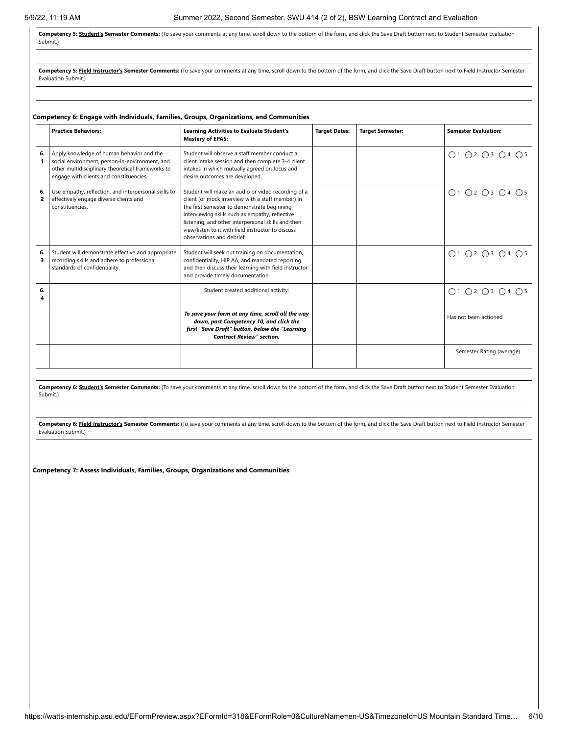Competency 5: **Student's Semester Comments:** (To save your comments at any time, scroll down to the bottom of the form, and click the Save Draft button next to Student Semester Evaluation Submit.)

Competency 5: Field Instructor's Semester Comments: (To save your comments at any time, scroll down to the bottom of the form, and click the Save Draft button next to Field Instructor Semester Evaluation Submit.)

|         | <b>Practice Behaviors:</b>                                                                                                                                                                  | <b>Learning Activities to Evaluate Student's</b><br><b>Mastery of EPAS:</b>                                                                                                                                                                                                                                                                        | <b>Target Dates:</b> | <b>Target Semester:</b> | <b>Semester Evaluation:</b> |
|---------|---------------------------------------------------------------------------------------------------------------------------------------------------------------------------------------------|----------------------------------------------------------------------------------------------------------------------------------------------------------------------------------------------------------------------------------------------------------------------------------------------------------------------------------------------------|----------------------|-------------------------|-----------------------------|
| 6.<br>1 | Apply knowledge of human behavior and the<br>social environment, person-in-environment, and<br>other multidisciplinary theoretical frameworks to<br>engage with clients and constituencies. | Student will observe a staff member conduct a<br>client intake session and then complete 3-4 client<br>intakes in which mutually agreed on focus and<br>desire outcomes are developed.                                                                                                                                                             |                      |                         | ○1 ○2 ○3 ○4 ○5              |
| 6.<br>2 | Use empathy, reflection, and interpersonal skills to<br>effectively engage diverse clients and<br>constituencies.                                                                           | Student will make an audio or video recording of a<br>client (or mock interview with a staff member) in<br>the first semester to demonstrate beginning<br>interviewing skills such as empathy, reflective<br>listening, and other interpersonal skills and then<br>view/listen to it with field instructor to discuss<br>observations and debrief. |                      |                         | ○1 ○2 ○3 ○4 ○5              |
| 6.<br>3 | Student will demonstrate effective and appropriate<br>recording skills and adhere to professional<br>standards of confidentiality.                                                          | Student will seek out training on documentation,<br>confidentiality, HIP AA, and mandated reporting<br>and then discuss their learning with field instructor<br>and provide timely documentation.                                                                                                                                                  |                      |                         | ○1 ○2 ○3 ○4 ○5              |
| 6.<br>4 |                                                                                                                                                                                             | Student created additional activity:                                                                                                                                                                                                                                                                                                               |                      |                         | O1 O2 O3 O4 O5              |
|         |                                                                                                                                                                                             | To save your form at any time, scroll all the way<br>down, past Competency 10, and click the<br>first "Save Draft" button, below the "Learning<br><b>Contract Review" section.</b>                                                                                                                                                                 |                      |                         | Has not been actioned       |
|         |                                                                                                                                                                                             |                                                                                                                                                                                                                                                                                                                                                    |                      |                         | Semester Rating (average)   |

Competency 6: **Student's Semester Comments:** (To save your comments at any time, scroll down to the bottom of the form, and click the Save Draft button next to Student Semester Evaluation Submit.)

Competency 6: Field Instructor's Semester Comments: (To save your comments at any time, scroll down to the bottom of the form, and click the Save Draft button next to Field Instructor Semester Evaluation Submit.)

**Competency 7: Assess Individuals, Families, Groups, Organizations and Communities**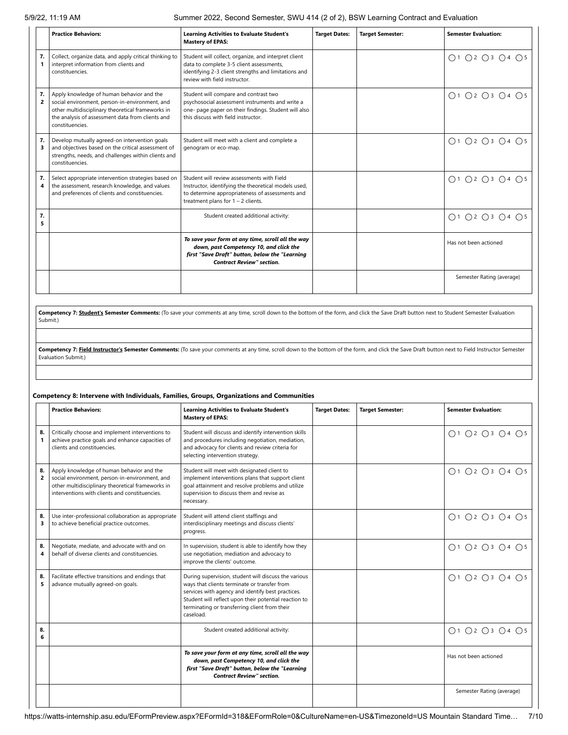5/9/22, 11:19 AM Summer 2022, Second Semester, SWU 414 (2 of 2), BSW Learning Contract and Evaluation

|                      | <b>Practice Behaviors:</b>                                                                                                                                                                                              | <b>Learning Activities to Evaluate Student's</b><br><b>Mastery of EPAS:</b>                                                                                                                   | <b>Target Dates:</b> | <b>Target Semester:</b> | <b>Semester Evaluation:</b> |
|----------------------|-------------------------------------------------------------------------------------------------------------------------------------------------------------------------------------------------------------------------|-----------------------------------------------------------------------------------------------------------------------------------------------------------------------------------------------|----------------------|-------------------------|-----------------------------|
| 7.                   | Collect, organize data, and apply critical thinking to<br>interpret information from clients and<br>constituencies.                                                                                                     | Student will collect, organize, and interpret client<br>data to complete 3-5 client assessments,<br>identifying 2-3 client strengths and limitations and<br>review with field instructor.     |                      |                         | ○1 ○2 ○3 ○4 ○5              |
| 7.<br>$\overline{2}$ | Apply knowledge of human behavior and the<br>social environment, person-in-environment, and<br>other multidisciplinary theoretical frameworks in<br>the analysis of assessment data from clients and<br>constituencies. | Student will compare and contrast two<br>psychosocial assessment instruments and write a<br>one- page paper on their findings. Student will also<br>this discuss with field instructor.       |                      |                         | ○1 ○2 ○3 ○4 ○5              |
| 7.<br>3              | Develop mutually agreed-on intervention goals<br>and objectives based on the critical assessment of<br>strengths, needs, and challenges within clients and<br>constituencies.                                           | Student will meet with a client and complete a<br>genogram or eco-map.                                                                                                                        |                      |                         | ○1 ○2 ○3 ○4 ○5              |
| 7.                   | Select appropriate intervention strategies based on<br>the assessment, research knowledge, and values<br>and preferences of clients and constituencies.                                                                 | Student will review assessments with Field<br>Instructor, identifying the theoretical models used,<br>to determine appropriateness of assessments and<br>treatment plans for $1 - 2$ clients. |                      |                         | ○1 ○2 ○3 ○4 ○5              |
| 7.<br>5              |                                                                                                                                                                                                                         | Student created additional activity:                                                                                                                                                          |                      |                         | ○1 ○2 ○3 ○4 ○5              |
|                      |                                                                                                                                                                                                                         | To save your form at any time, scroll all the way<br>down, past Competency 10, and click the<br>first "Save Draft" button, below the "Learning<br><b>Contract Review" section.</b>            |                      |                         | Has not been actioned       |
|                      |                                                                                                                                                                                                                         |                                                                                                                                                                                               |                      |                         | Semester Rating (average)   |

Competency 7: **Student's Semester Comments:** (To save your comments at any time, scroll down to the bottom of the form, and click the Save Draft button next to Student Semester Evaluation Submit.)

**Competency 7: Field Instructor's Semester Comments:** (To save your comments at any time, scroll down to the bottom of the form, and click the Save Draft button next to Field Instructor Semester Evaluation Submit.)

## **Competency 8: Intervene with Individuals, Families, Groups, Organizations and Communities**

|                      | <b>Practice Behaviors:</b>                                                                                                                                                                         | <b>Learning Activities to Evaluate Student's</b><br><b>Mastery of EPAS:</b>                                                                                                                                                                                                      | <b>Target Dates:</b> | <b>Target Semester:</b> | <b>Semester Evaluation:</b>                                 |
|----------------------|----------------------------------------------------------------------------------------------------------------------------------------------------------------------------------------------------|----------------------------------------------------------------------------------------------------------------------------------------------------------------------------------------------------------------------------------------------------------------------------------|----------------------|-------------------------|-------------------------------------------------------------|
| 8.<br>1              | Critically choose and implement interventions to<br>achieve practice goals and enhance capacities of<br>clients and constituencies.                                                                | Student will discuss and identify intervention skills<br>and procedures including negotiation, mediation,<br>and advocacy for clients and review criteria for<br>selecting intervention strategy.                                                                                |                      |                         | $\bigcap$ 1 $\bigcap$ 2 $\bigcap$ 3 $\bigcap$ 4 $\bigcap$ 5 |
| 8.<br>$\overline{2}$ | Apply knowledge of human behavior and the<br>social environment, person-in-environment, and<br>other multidisciplinary theoretical frameworks in<br>interventions with clients and constituencies. | Student will meet with designated client to<br>implement interventions plans that support client<br>goal attainment and resolve problems and utilize<br>supervision to discuss them and revise as<br>necessary.                                                                  |                      |                         | ○1 ○2 ○3 ○4 ○5                                              |
| 8.<br>3              | Use inter-professional collaboration as appropriate<br>to achieve beneficial practice outcomes.                                                                                                    | Student will attend client staffings and<br>interdisciplinary meetings and discuss clients'<br>progress.                                                                                                                                                                         |                      |                         | $\bigcap$ 1 $\bigcap$ 2 $\bigcap$ 3 $\bigcap$ 4 $\bigcap$ 5 |
| 8.<br>4              | Negotiate, mediate, and advocate with and on<br>behalf of diverse clients and constituencies.                                                                                                      | In supervision, student is able to identify how they<br>use negotiation, mediation and advocacy to<br>improve the clients' outcome.                                                                                                                                              |                      |                         | $\bigcap$ 1 $\bigcap$ 2 $\bigcap$ 3 $\bigcap$ 4 $\bigcap$ 5 |
| 8.<br>5              | Facilitate effective transitions and endings that<br>advance mutually agreed-on goals.                                                                                                             | During supervision, student will discuss the various<br>ways that clients terminate or transfer from<br>services with agency and identify best practices.<br>Student will reflect upon their potential reaction to<br>terminating or transferring client from their<br>caseload. |                      |                         | $\bigcap$ 1 $\bigcap$ 2 $\bigcap$ 3 $\bigcap$ 4 $\bigcap$ 5 |
| 8.<br>6              |                                                                                                                                                                                                    | Student created additional activity:                                                                                                                                                                                                                                             |                      |                         | ○1 ○2 ○3 ○4 ○5                                              |
|                      |                                                                                                                                                                                                    | To save your form at any time, scroll all the way<br>down, past Competency 10, and click the<br>first "Save Draft" button, below the "Learning<br><b>Contract Review" section.</b>                                                                                               |                      |                         | Has not been actioned                                       |
|                      |                                                                                                                                                                                                    |                                                                                                                                                                                                                                                                                  |                      |                         | Semester Rating (average)                                   |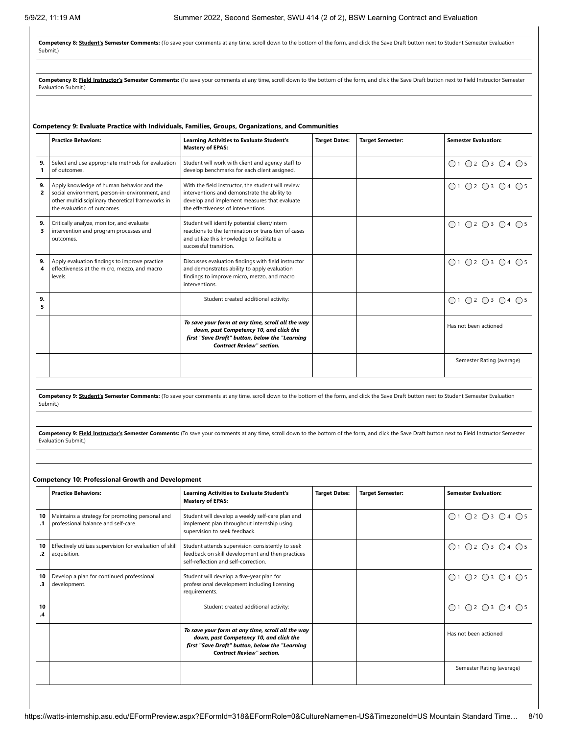**Competency 8: Student's Semester Comments:** (To save your comments at any time, scroll down to the bottom of the form, and click the Save Draft button next to Student Semester Evaluation Submit.)

Competency 8: Field Instructor's Semester Comments: (To save your comments at any time, scroll down to the bottom of the form, and click the Save Draft button next to Field Instructor Semester Evaluation Submit.)

## **Competency 9: Evaluate Practice with Individuals, Families, Groups, Organizations, and Communities**

|                      | <b>Practice Behaviors:</b>                                                                                                                                                      | <b>Learning Activities to Evaluate Student's</b><br><b>Mastery of EPAS:</b>                                                                                                               | <b>Target Dates:</b> | <b>Target Semester:</b> | <b>Semester Evaluation:</b> |
|----------------------|---------------------------------------------------------------------------------------------------------------------------------------------------------------------------------|-------------------------------------------------------------------------------------------------------------------------------------------------------------------------------------------|----------------------|-------------------------|-----------------------------|
| 9.                   | Select and use appropriate methods for evaluation<br>of outcomes.                                                                                                               | Student will work with client and agency staff to<br>develop benchmarks for each client assigned.                                                                                         |                      |                         | ○1 ○2 ○3 ○4 ○5              |
| 9.<br>$\overline{2}$ | Apply knowledge of human behavior and the<br>social environment, person-in-environment, and<br>other multidisciplinary theoretical frameworks in<br>the evaluation of outcomes. | With the field instructor, the student will review<br>interventions and demonstrate the ability to<br>develop and implement measures that evaluate<br>the effectiveness of interventions. |                      |                         | O1 O2 O3 O4 O5              |
| 9.<br>3              | Critically analyze, monitor, and evaluate<br>intervention and program processes and<br>outcomes.                                                                                | Student will identify potential client/intern<br>reactions to the termination or transition of cases<br>and utilize this knowledge to facilitate a<br>successful transition.              |                      |                         | ○1 ○2 ○3 ○4 ○5              |
| 9.<br>4              | Apply evaluation findings to improve practice<br>effectiveness at the micro, mezzo, and macro<br>levels.                                                                        | Discusses evaluation findings with field instructor<br>and demonstrates ability to apply evaluation<br>findings to improve micro, mezzo, and macro<br>interventions.                      |                      |                         | ○1 ○2 ○3 ○4 ○5              |
| 9.<br>5              |                                                                                                                                                                                 | Student created additional activity:                                                                                                                                                      |                      |                         | ○1 ○2 ○3 ○4 ○5              |
|                      |                                                                                                                                                                                 | To save your form at any time, scroll all the way<br>down, past Competency 10, and click the<br>first "Save Draft" button, below the "Learning<br><b>Contract Review" section.</b>        |                      |                         | Has not been actioned       |
|                      |                                                                                                                                                                                 |                                                                                                                                                                                           |                      |                         | Semester Rating (average)   |

**Competency 9: Student's Semester Comments:** (To save your comments at any time, scroll down to the bottom of the form, and click the Save Draft button next to Student Semester Evaluation Submit.)

Competency 9: Field Instructor's Semester Comments: (To save your comments at any time, scroll down to the bottom of the form, and click the Save Draft button next to Field Instructor Semester Evaluation Submit.)

## **Competency 10: Professional Growth and Development**

|                 | <b>Practice Behaviors:</b>                                                             | <b>Learning Activities to Evaluate Student's</b><br><b>Mastery of EPAS:</b>                                                                                                        | <b>Target Dates:</b> | <b>Target Semester:</b> | <b>Semester Evaluation:</b> |
|-----------------|----------------------------------------------------------------------------------------|------------------------------------------------------------------------------------------------------------------------------------------------------------------------------------|----------------------|-------------------------|-----------------------------|
| 10<br>$\cdot$ 1 | Maintains a strategy for promoting personal and<br>professional balance and self-care. | Student will develop a weekly self-care plan and<br>implement plan throughout internship using<br>supervision to seek feedback.                                                    |                      |                         | O1 O2 O3 O4 O5              |
| 10<br>.2        | Effectively utilizes supervision for evaluation of skill<br>acquisition.               | Student attends supervision consistently to seek<br>feedback on skill development and then practices<br>self-reflection and self-correction.                                       |                      |                         | ○1 ○2 ○3 ○4 ○5              |
| 10<br>.3        | Develop a plan for continued professional<br>development.                              | Student will develop a five-year plan for<br>professional development including licensing<br>requirements.                                                                         |                      |                         | ○1 ○2 ○3 ○4 ○5              |
| 10<br>.4        |                                                                                        | Student created additional activity:                                                                                                                                               |                      |                         | ○1 ○2 ○3 ○4 ○5              |
|                 |                                                                                        | To save your form at any time, scroll all the way<br>down, past Competency 10, and click the<br>first "Save Draft" button, below the "Learning<br><b>Contract Review" section.</b> |                      |                         | Has not been actioned       |
|                 |                                                                                        |                                                                                                                                                                                    |                      |                         | Semester Rating (average)   |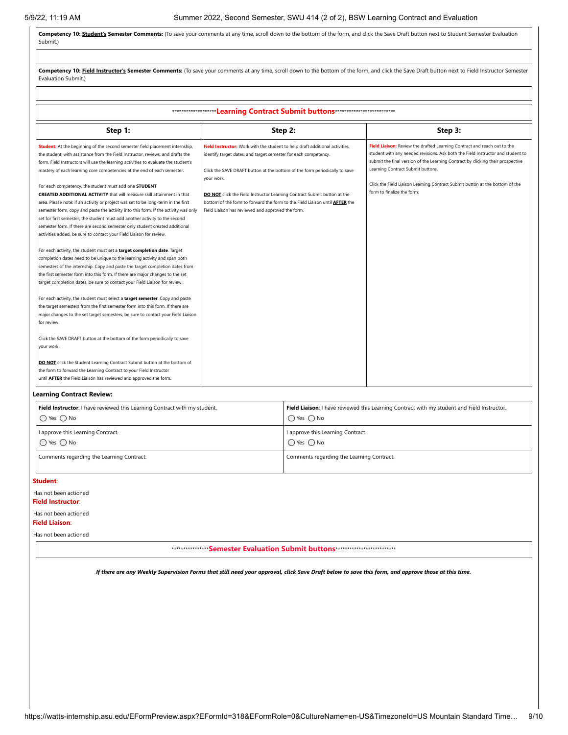Competency 10: Student's Semester Comments: (To save your comments at any time, scroll down to the bottom of the form, and click the Save Draft button next to Student Semester Evaluation Submit.)

| Competency 10: Field Instructor's Semester Comments: (To save your comments at any time, scroll down to the bottom of the form, and click the Save Draft button next to Field Instructor Semester<br>Evaluation Submit.)                                                                                                                                                                                                                                                                                                                                                                                                                                                                                                                                                                                                                                                                                                                                                                                                                                                                                                                                                                                                                                                                                                                                                                                                                                                                                                                                                                                                                                                                                                                                                                                                                                                                            |                                                                                                                                                                                                                                                                                                                                                                                                                                                             |                                                                                                                                                                                                                                                                                                                                                                                                   |  |  |  |  |  |  |
|-----------------------------------------------------------------------------------------------------------------------------------------------------------------------------------------------------------------------------------------------------------------------------------------------------------------------------------------------------------------------------------------------------------------------------------------------------------------------------------------------------------------------------------------------------------------------------------------------------------------------------------------------------------------------------------------------------------------------------------------------------------------------------------------------------------------------------------------------------------------------------------------------------------------------------------------------------------------------------------------------------------------------------------------------------------------------------------------------------------------------------------------------------------------------------------------------------------------------------------------------------------------------------------------------------------------------------------------------------------------------------------------------------------------------------------------------------------------------------------------------------------------------------------------------------------------------------------------------------------------------------------------------------------------------------------------------------------------------------------------------------------------------------------------------------------------------------------------------------------------------------------------------------|-------------------------------------------------------------------------------------------------------------------------------------------------------------------------------------------------------------------------------------------------------------------------------------------------------------------------------------------------------------------------------------------------------------------------------------------------------------|---------------------------------------------------------------------------------------------------------------------------------------------------------------------------------------------------------------------------------------------------------------------------------------------------------------------------------------------------------------------------------------------------|--|--|--|--|--|--|
|                                                                                                                                                                                                                                                                                                                                                                                                                                                                                                                                                                                                                                                                                                                                                                                                                                                                                                                                                                                                                                                                                                                                                                                                                                                                                                                                                                                                                                                                                                                                                                                                                                                                                                                                                                                                                                                                                                     |                                                                                                                                                                                                                                                                                                                                                                                                                                                             |                                                                                                                                                                                                                                                                                                                                                                                                   |  |  |  |  |  |  |
| ********************Learning Contract Submit buttons***************************                                                                                                                                                                                                                                                                                                                                                                                                                                                                                                                                                                                                                                                                                                                                                                                                                                                                                                                                                                                                                                                                                                                                                                                                                                                                                                                                                                                                                                                                                                                                                                                                                                                                                                                                                                                                                     |                                                                                                                                                                                                                                                                                                                                                                                                                                                             |                                                                                                                                                                                                                                                                                                                                                                                                   |  |  |  |  |  |  |
| Step 1:                                                                                                                                                                                                                                                                                                                                                                                                                                                                                                                                                                                                                                                                                                                                                                                                                                                                                                                                                                                                                                                                                                                                                                                                                                                                                                                                                                                                                                                                                                                                                                                                                                                                                                                                                                                                                                                                                             | Step 2:                                                                                                                                                                                                                                                                                                                                                                                                                                                     | Step 3:                                                                                                                                                                                                                                                                                                                                                                                           |  |  |  |  |  |  |
| Student: At the beginning of the second semester field placement internship,<br>the student, with assistance from the Field Instructor, reviews, and drafts the<br>form. Field Instructors will use the learning activities to evaluate the student's<br>mastery of each learning core competencies at the end of each semester.<br>For each competency, the student must add one STUDENT<br><b>CREATED ADDITIONAL ACTIVITY</b> that will measure skill attainment in that<br>area. Please note: if an activity or project was set to be long-term in the first<br>semester form, copy and paste the activity into this form. If the activity was only<br>set for first semester, the student must add another activity to the second<br>semester form. If there are second semester only student created additional<br>activities added, be sure to contact your Field Liaison for review.<br>For each activity, the student must set a target completion date. Target<br>completion dates need to be unique to the learning activity and span both<br>semesters of the internship. Copy and paste the target completion dates from<br>the first semester form into this form. If there are major changes to the set<br>target completion dates, be sure to contact your Field Liaison for review.<br>For each activity, the student must select a target semester. Copy and paste<br>the target semesters from the first semester form into this form. If there are<br>major changes to the set target semesters, be sure to contact your Field Liaison<br>for review.<br>Click the SAVE DRAFT button at the bottom of the form periodically to save<br>your work.<br>DO NOT click the Student Learning Contract Submit button at the bottom of<br>the form to forward the Learning Contract to your Field Instructor<br>until <b>AFTER</b> the Field Liaison has reviewed and approved the form. | Field Instructor: Work with the student to help draft additional activities,<br>identify target dates, and target semester for each competency.<br>Click the SAVE DRAFT button at the bottom of the form periodically to save<br>your work.<br>DO NOT click the Field Instructor Learning Contract Submit button at the<br>bottom of the form to forward the form to the Field Liaison until AFTER the<br>Field Liaison has reviewed and approved the form. | Field Liaison: Review the drafted Learning Contract and reach out to the<br>student with any needed revisions. Ask both the Field Instructor and student to<br>submit the final version of the Learning Contract by clicking their prospective<br>Learning Contract Submit buttons.<br>Click the Field Liaison Learning Contract Submit button at the bottom of the<br>form to finalize the form. |  |  |  |  |  |  |

## **Learning Contract Review:**

| Field Instructor: I have reviewed this Learning Contract with my student. | Field Liaison: I have reviewed this Learning Contract with my student and Field Instructor. |  |
|---------------------------------------------------------------------------|---------------------------------------------------------------------------------------------|--|
| $\bigcap$ Yes $\bigcap$ No                                                | $\bigcap$ Yes $\bigcap$ No                                                                  |  |
| I approve this Learning Contract.                                         | I approve this Learning Contract.                                                           |  |
| $\bigcap$ Yes $\bigcap$ No                                                | $\bigcap$ Yes $\bigcap$ No                                                                  |  |
| Comments regarding the Learning Contract:                                 | Comments regarding the Learning Contract:                                                   |  |

**Student**:

Has not been actioned

**Field Instructor**:

Has not been actioned

**Field Liaison**:

Has not been actioned

\*\*\*\*\*\*\*\*\*\*\*\*\*\*\*\***Semester Evaluation Submit buttons**\*\*\*\*\*\*\*\*\*\*\*\*\*\*\*\*\*\*\*\*\*\*\*\*\*\*

*If there are any Weekly Supervision Forms that still need your approval, click Save Draft below to save this form, and approve those at this time.*